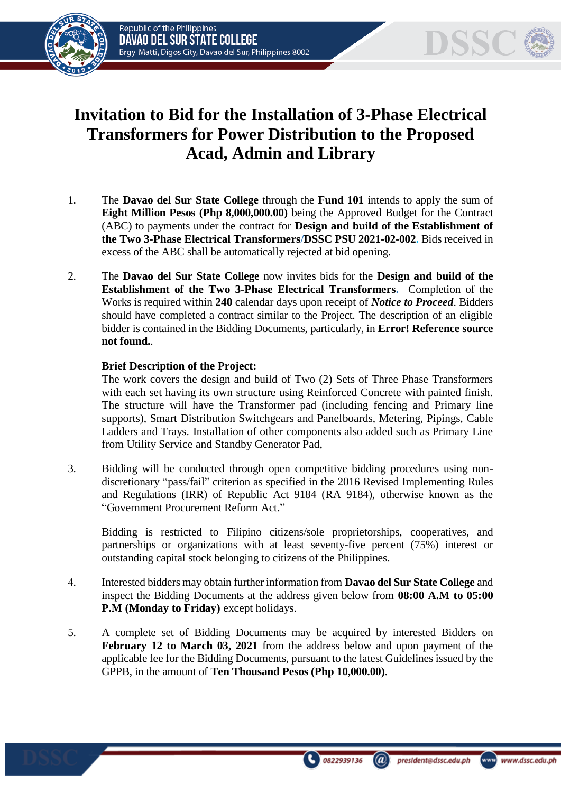



## **Invitation to Bid for the Installation of 3-Phase Electrical Transformers for Power Distribution to the Proposed Acad, Admin and Library**

- 1. The **Davao del Sur State College** through the **Fund 101** intends to apply the sum of **Eight Million Pesos (Php 8,000,000.00)** being the Approved Budget for the Contract (ABC) to payments under the contract for **Design and build of the Establishment of the Two 3-Phase Electrical Transformers/DSSC PSU 2021-02-002.** Bids received in excess of the ABC shall be automatically rejected at bid opening.
- 2. The **Davao del Sur State College** now invites bids for the **Design and build of the Establishment of the Two 3-Phase Electrical Transformers.** Completion of the Works is required within **240** calendar days upon receipt of *Notice to Proceed*. Bidders should have completed a contract similar to the Project. The description of an eligible bidder is contained in the Bidding Documents, particularly, in **Error! Reference source not found.**.

## **Brief Description of the Project:**

The work covers the design and build of Two (2) Sets of Three Phase Transformers with each set having its own structure using Reinforced Concrete with painted finish. The structure will have the Transformer pad (including fencing and Primary line supports), Smart Distribution Switchgears and Panelboards, Metering, Pipings, Cable Ladders and Trays. Installation of other components also added such as Primary Line from Utility Service and Standby Generator Pad,

3. Bidding will be conducted through open competitive bidding procedures using nondiscretionary "pass/fail" criterion as specified in the 2016 Revised Implementing Rules and Regulations (IRR) of Republic Act 9184 (RA 9184), otherwise known as the "Government Procurement Reform Act."

Bidding is restricted to Filipino citizens/sole proprietorships, cooperatives, and partnerships or organizations with at least seventy-five percent (75%) interest or outstanding capital stock belonging to citizens of the Philippines.

- 4. Interested bidders may obtain further information from **Davao del Sur State College** and inspect the Bidding Documents at the address given below from **08:00 A.M to 05:00 P.M (Monday to Friday)** except holidays.
- 5. A complete set of Bidding Documents may be acquired by interested Bidders on **February 12 to March 03, 2021** from the address below and upon payment of the applicable fee for the Bidding Documents, pursuant to the latest Guidelines issued by the GPPB, in the amount of **Ten Thousand Pesos (Php 10,000.00)**.



 $\overline{a}$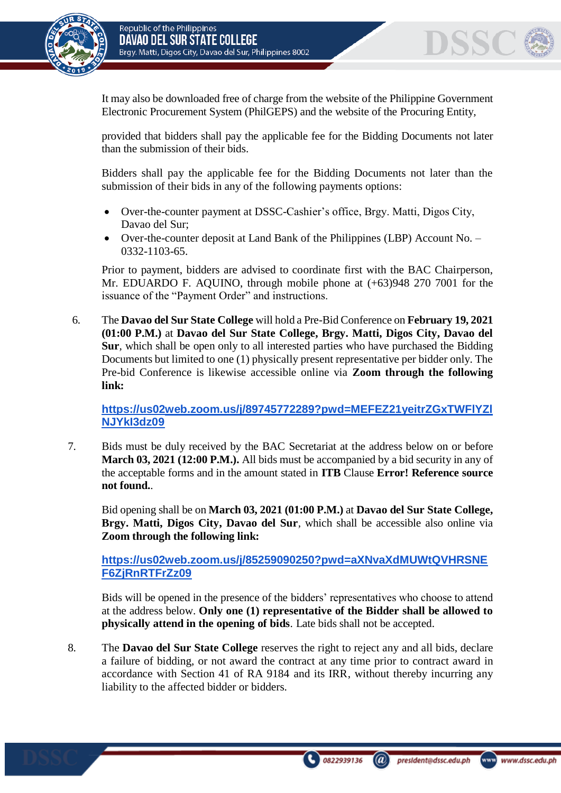

It may also be downloaded free of charge from the website of the Philippine Government Electronic Procurement System (PhilGEPS) and the website of the Procuring Entity*,* 

provided that bidders shall pay the applicable fee for the Bidding Documents not later than the submission of their bids.

Bidders shall pay the applicable fee for the Bidding Documents not later than the submission of their bids in any of the following payments options:

- Over-the-counter payment at DSSC-Cashier's office, Brgy. Matti, Digos City, Davao del Sur;
- Over-the-counter deposit at Land Bank of the Philippines (LBP) Account No. 0332-1103-65.

Prior to payment, bidders are advised to coordinate first with the BAC Chairperson, Mr. EDUARDO F. AQUINO, through mobile phone at (+63)948 270 7001 for the issuance of the "Payment Order" and instructions.

6. The **Davao del Sur State College** will hold a Pre-Bid Conference on **February 19, 2021 (01:00 P.M.)** at **Davao del Sur State College, Brgy. Matti, Digos City, Davao del Sur***,* which shall be open only to all interested parties who have purchased the Bidding Documents but limited to one (1) physically present representative per bidder only. The Pre-bid Conference is likewise accessible online via **Zoom through the following link:**

**[https://us02web.zoom.us/j/89745772289?pwd=MEFEZ21yeitrZGxTWFlYZl](https://us02web.zoom.us/j/89745772289?pwd=MEFEZ21yeitrZGxTWFlYZlNJYkI3dz09) [NJYkI3dz09](https://us02web.zoom.us/j/89745772289?pwd=MEFEZ21yeitrZGxTWFlYZlNJYkI3dz09)**

7. Bids must be duly received by the BAC Secretariat at the address below on or before **March 03, 2021 (12:00 P.M.).** All bids must be accompanied by a bid security in any of the acceptable forms and in the amount stated in **ITB** Clause **Error! Reference source not found.**.

Bid opening shall be on **March 03, 2021 (01:00 P.M.)** at **Davao del Sur State College, Brgy. Matti, Digos City, Davao del Sur***,* which shall be accessible also online via **Zoom through the following link:**

**[https://us02web.zoom.us/j/85259090250?pwd=aXNvaXdMUWtQVHRSNE](https://us02web.zoom.us/j/85259090250?pwd=aXNvaXdMUWtQVHRSNEF6ZjRnRTFrZz09) [F6ZjRnRTFrZz09](https://us02web.zoom.us/j/85259090250?pwd=aXNvaXdMUWtQVHRSNEF6ZjRnRTFrZz09)**

Bids will be opened in the presence of the bidders' representatives who choose to attend at the address below. **Only one (1) representative of the Bidder shall be allowed to physically attend in the opening of bids**. Late bids shall not be accepted.

8. The **Davao del Sur State College** reserves the right to reject any and all bids, declare a failure of bidding, or not award the contract at any time prior to contract award in accordance with Section 41 of RA 9184 and its IRR, without thereby incurring any liability to the affected bidder or bidders.

DSSC